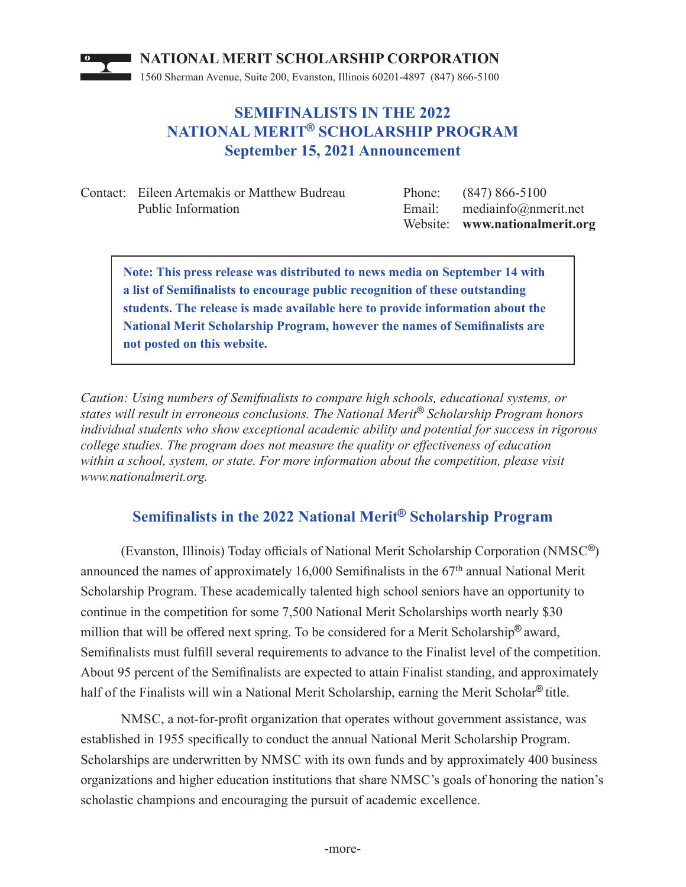

## **SEMIFINALISTS IN THE 2022 NATIONAL MERIT® SCHOLARSHIP PROGRAM September 15, 2021 Announcement**

Contact: Eileen Artemakis or Matthew Budreau Phone: (847) 866-5100 Public Information Email: mediainfo@nmerit.net

Website: **www.nationalmerit.org**

**Note: This press release was distributed to news media on September 14 with a list of Semifi nalists to encourage public recognition of these outstanding students. The release is made available here to provide information about the National Merit Scholarship Program, however the names of Semifinalists are not posted on this website.**

*Caution: Using numbers of Semifinalists to compare high schools, educational systems, or states will result in erroneous conclusions. The National Merit® Scholarship Program honors individual students who show exceptional academic ability and potential for success in rigorous college studies. The program does not measure the quality or eff ectiveness of education within a school, system, or state. For more information about the competition, please visit www.nationalmerit.org.*

## **Semifi nalists in the 2022 National Merit® Scholarship Program**

(Evanston, Illinois) Today officials of National Merit Scholarship Corporation (NMSC<sup>®</sup>) announced the names of approximately 16,000 Semifinalists in the  $67<sup>th</sup>$  annual National Merit Scholarship Program. These academically talented high school seniors have an opportunity to continue in the competition for some 7,500 National Merit Scholarships worth nearly \$30 million that will be offered next spring. To be considered for a Merit Scholarship<sup>®</sup> award, Semifinalists must fulfill several requirements to advance to the Finalist level of the competition. About 95 percent of the Semifinalists are expected to attain Finalist standing, and approximately half of the Finalists will win a National Merit Scholarship, earning the Merit Scholar® title.

NMSC, a not-for-profit organization that operates without government assistance, was established in 1955 specifically to conduct the annual National Merit Scholarship Program. Scholarships are underwritten by NMSC with its own funds and by approximately 400 business organizations and higher education institutions that share NMSC's goals of honoring the nation's scholastic champions and encouraging the pursuit of academic excellence.